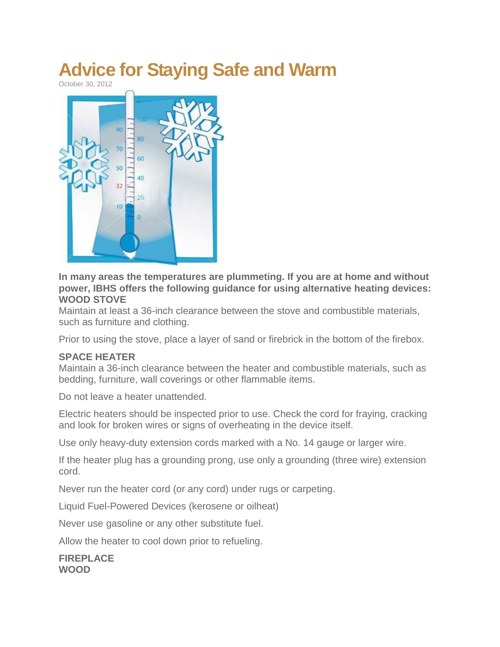## **Advice for Staying Safe and Warm**

October 30, 2012



**In many areas the temperatures are plummeting. If you are at home and without power, IBHS offers the following guidance for using alternative heating devices: WOOD STOVE**

Maintain at least a 36-inch clearance between the stove and combustible materials, such as furniture and clothing.

Prior to using the stove, place a layer of sand or firebrick in the bottom of the firebox.

## **SPACE HEATER**

Maintain a 36-inch clearance between the heater and combustible materials, such as bedding, furniture, wall coverings or other flammable items.

Do not leave a heater unattended.

Electric heaters should be inspected prior to use. Check the cord for fraying, cracking and look for broken wires or signs of overheating in the device itself.

Use only heavy-duty extension cords marked with a No. 14 gauge or larger wire.

If the heater plug has a grounding prong, use only a grounding (three wire) extension cord.

Never run the heater cord (or any cord) under rugs or carpeting.

Liquid Fuel-Powered Devices (kerosene or oilheat)

Never use gasoline or any other substitute fuel.

Allow the heater to cool down prior to refueling.

**FIREPLACE WOOD**